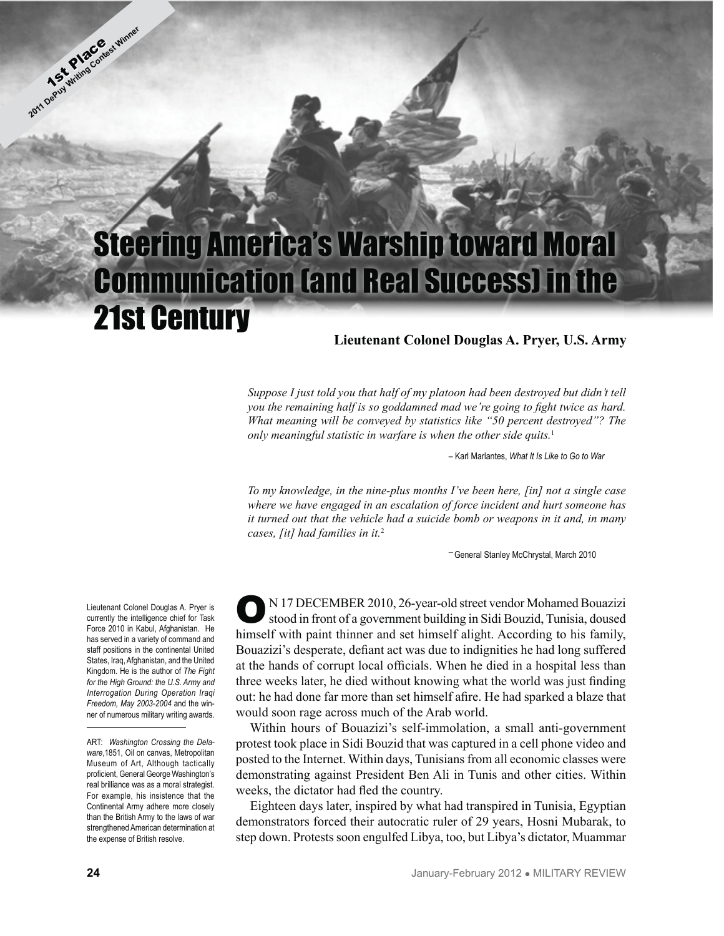# Steering America's Warship toward Moral Communication (and Real Success) in the 21st Century

#### **Lieutenant Colonel Douglas A. Pryer, U.S. Army**

*Suppose I just told you that half of my platoon had been destroyed but didn't tell you the remaining half is so goddamned mad we're going to fight twice as hard. What meaning will be conveyed by statistics like "50 percent destroyed"? The only meaningful statistic in warfare is when the other side quits.*<sup>1</sup>

– Karl Marlantes, *What It Is Like to Go to War*

*To my knowledge, in the nine-plus months I've been here, [in] not a single case where we have engaged in an escalation of force incident and hurt someone has it turned out that the vehicle had a suicide bomb or weapons in it and, in many cases, [it] had families in it.*<sup>2</sup>

— General Stanley McChrystal, March 2010

Lieutenant Colonel Douglas A. Pryer is currently the intelligence chief for Task Force 2010 in Kabul, Afghanistan. He has served in a variety of command and staff positions in the continental United States, Iraq, Afghanistan, and the United Kingdom. He is the author of *The Fight for the High Ground: the U.S. Army and Interrogation During Operation Iraqi Freedom, May 2003-2004* and the winner of numerous military writing awards.

ON 17 DECEMBER 2010, 26-year-old street vendor Mohamed Bouazizi stood in front of a government building in Sidi Bouzid, Tunisia, doused himself with paint thinner and set himself alight. According to his family, Bouazizi's desperate, defiant act was due to indignities he had long suffered at the hands of corrupt local officials. When he died in a hospital less than three weeks later, he died without knowing what the world was just finding out: he had done far more than set himself afire. He had sparked a blaze that would soon rage across much of the Arab world.

Within hours of Bouazizi's self-immolation, a small anti-government protest took place in Sidi Bouzid that was captured in a cell phone video and posted to the Internet. Within days, Tunisians from all economic classes were demonstrating against President Ben Ali in Tunis and other cities. Within weeks, the dictator had fled the country.

Eighteen days later, inspired by what had transpired in Tunisia, Egyptian demonstrators forced their autocratic ruler of 29 years, Hosni Mubarak, to step down. Protests soon engulfed Libya, too, but Libya's dictator, Muammar

**2011 Depth Place Contest Winner** 

ART: *Washington Crossing the Delaware*,1851, Oil on canvas, Metropolitan Museum of Art, Although tactically proficient, General George Washington's real brilliance was as a moral strategist. For example, his insistence that the Continental Army adhere more closely than the British Army to the laws of war strengthened American determination at the expense of British resolve.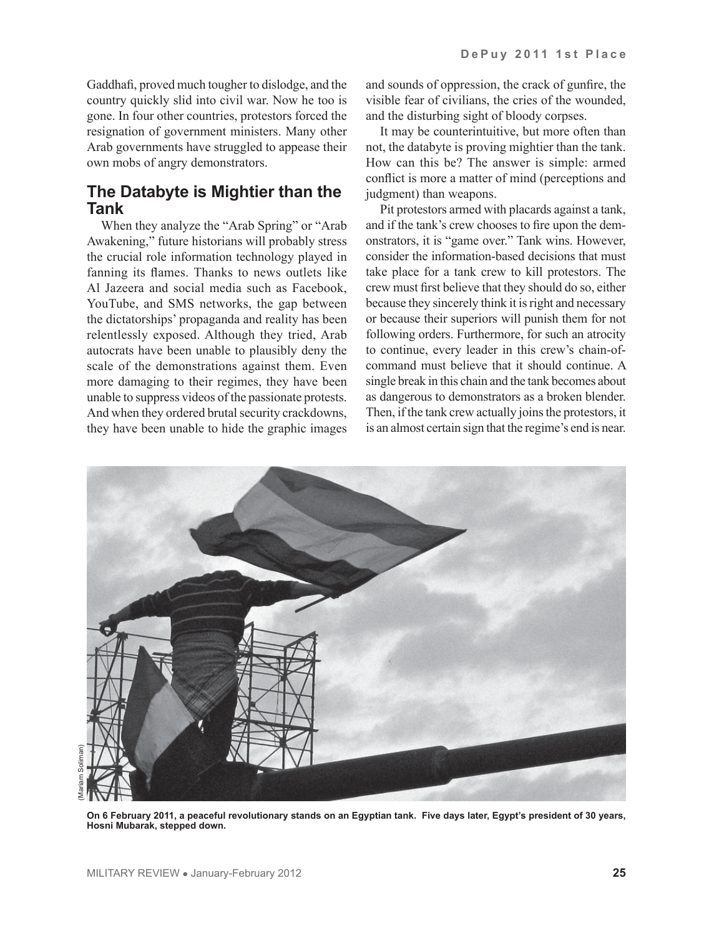Gaddhafi, proved much tougher to dislodge, and the country quickly slid into civil war. Now he too is gone. In four other countries, protestors forced the resignation of government ministers. Many other Arab governments have struggled to appease their own mobs of angry demonstrators.

### **The Databyte is Mightier than the Tank**

When they analyze the "Arab Spring" or "Arab Awakening," future historians will probably stress the crucial role information technology played in fanning its flames. Thanks to news outlets like Al Jazeera and social media such as Facebook, YouTube, and SMS networks, the gap between the dictatorships' propaganda and reality has been relentlessly exposed. Although they tried, Arab autocrats have been unable to plausibly deny the scale of the demonstrations against them. Even more damaging to their regimes, they have been unable to suppress videos of the passionate protests. And when they ordered brutal security crackdowns, they have been unable to hide the graphic images and sounds of oppression, the crack of gunfire, the visible fear of civilians, the cries of the wounded, and the disturbing sight of bloody corpses.

It may be counterintuitive, but more often than not, the databyte is proving mightier than the tank. How can this be? The answer is simple: armed conflict is more a matter of mind (perceptions and judgment) than weapons.

Pit protestors armed with placards against a tank, and if the tank's crew chooses to fire upon the demonstrators, it is "game over." Tank wins. However, consider the information-based decisions that must take place for a tank crew to kill protestors. The crew must first believe that they should do so, either because they sincerely think it is right and necessary or because their superiors will punish them for not following orders. Furthermore, for such an atrocity to continue, every leader in this crew's chain-ofcommand must believe that it should continue. A single break in this chain and the tank becomes about as dangerous to demonstrators as a broken blender. Then, if the tank crew actually joins the protestors, it is an almost certain sign that the regime's end is near.



**On 6 February 2011, a peaceful revolutionary stands on an Egyptian tank. Five days later, Egypt's president of 30 years, Hosni Mubarak, stepped down.**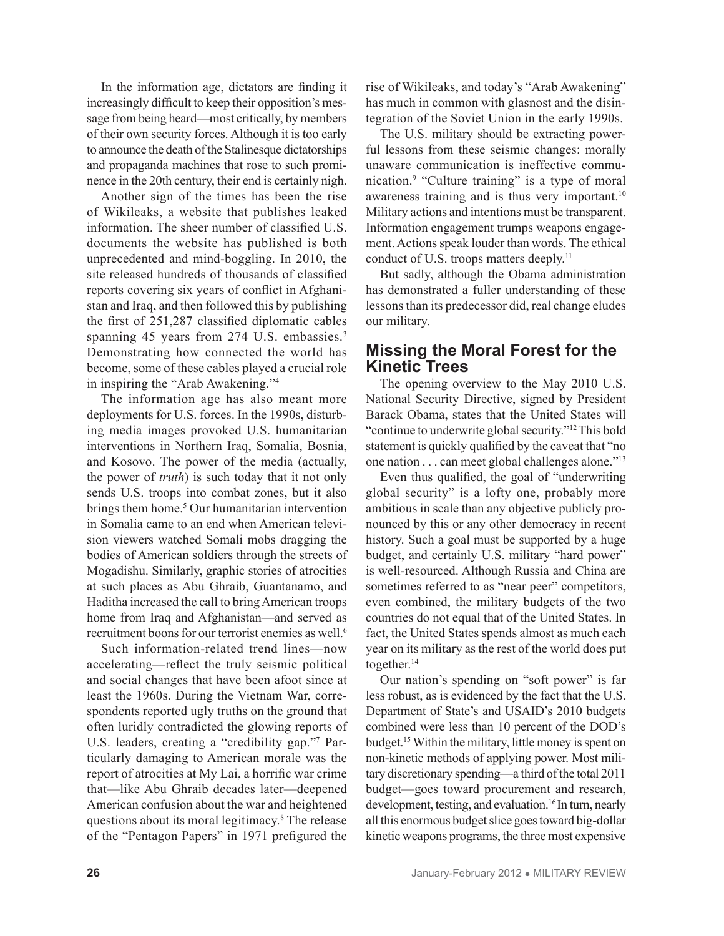In the information age, dictators are finding it increasingly difficult to keep their opposition's message from being heard—most critically, by members of their own security forces. Although it is too early to announce the death of the Stalinesque dictatorships and propaganda machines that rose to such prominence in the 20th century, their end is certainly nigh.

Another sign of the times has been the rise of Wikileaks, a website that publishes leaked information. The sheer number of classified U.S. documents the website has published is both unprecedented and mind-boggling. In 2010, the site released hundreds of thousands of classified reports covering six years of conflict in Afghanistan and Iraq, and then followed this by publishing the first of 251,287 classified diplomatic cables spanning 45 years from 274 U.S. embassies.<sup>3</sup> Demonstrating how connected the world has become, some of these cables played a crucial role in inspiring the "Arab Awakening."4

The information age has also meant more deployments for U.S. forces. In the 1990s, disturbing media images provoked U.S. humanitarian interventions in Northern Iraq, Somalia, Bosnia, and Kosovo. The power of the media (actually, the power of *truth*) is such today that it not only sends U.S. troops into combat zones, but it also brings them home.<sup>5</sup> Our humanitarian intervention in Somalia came to an end when American television viewers watched Somali mobs dragging the bodies of American soldiers through the streets of Mogadishu. Similarly, graphic stories of atrocities at such places as Abu Ghraib, Guantanamo, and Haditha increased the call to bring American troops home from Iraq and Afghanistan—and served as recruitment boons for our terrorist enemies as well.<sup>6</sup>

Such information-related trend lines—now accelerating—reflect the truly seismic political and social changes that have been afoot since at least the 1960s. During the Vietnam War, correspondents reported ugly truths on the ground that often luridly contradicted the glowing reports of U.S. leaders, creating a "credibility gap."7 Particularly damaging to American morale was the report of atrocities at My Lai, a horrific war crime that—like Abu Ghraib decades later—deepened American confusion about the war and heightened questions about its moral legitimacy.8 The release of the "Pentagon Papers" in 1971 prefigured the

rise of Wikileaks, and today's "Arab Awakening" has much in common with glasnost and the disintegration of the Soviet Union in the early 1990s.

The U.S. military should be extracting powerful lessons from these seismic changes: morally unaware communication is ineffective communication.9 "Culture training" is a type of moral awareness training and is thus very important.<sup>10</sup> Military actions and intentions must be transparent. Information engagement trumps weapons engagement. Actions speak louder than words. The ethical conduct of U.S. troops matters deeply.<sup>11</sup>

But sadly, although the Obama administration has demonstrated a fuller understanding of these lessons than its predecessor did, real change eludes our military.

#### **Missing the Moral Forest for the Kinetic Trees**

The opening overview to the May 2010 U.S. National Security Directive, signed by President Barack Obama, states that the United States will "continue to underwrite global security."12 This bold statement is quickly qualified by the caveat that "no one nation . . . can meet global challenges alone."13

Even thus qualified, the goal of "underwriting global security" is a lofty one, probably more ambitious in scale than any objective publicly pronounced by this or any other democracy in recent history. Such a goal must be supported by a huge budget, and certainly U.S. military "hard power" is well-resourced. Although Russia and China are sometimes referred to as "near peer" competitors, even combined, the military budgets of the two countries do not equal that of the United States. In fact, the United States spends almost as much each year on its military as the rest of the world does put together.<sup>14</sup>

Our nation's spending on "soft power" is far less robust, as is evidenced by the fact that the U.S. Department of State's and USAID's 2010 budgets combined were less than 10 percent of the DOD's budget.15 Within the military, little money is spent on non-kinetic methods of applying power. Most military discretionary spending—a third of the total 2011 budget—goes toward procurement and research, development, testing, and evaluation.<sup>16</sup> In turn, nearly all this enormous budget slice goes toward big-dollar kinetic weapons programs, the three most expensive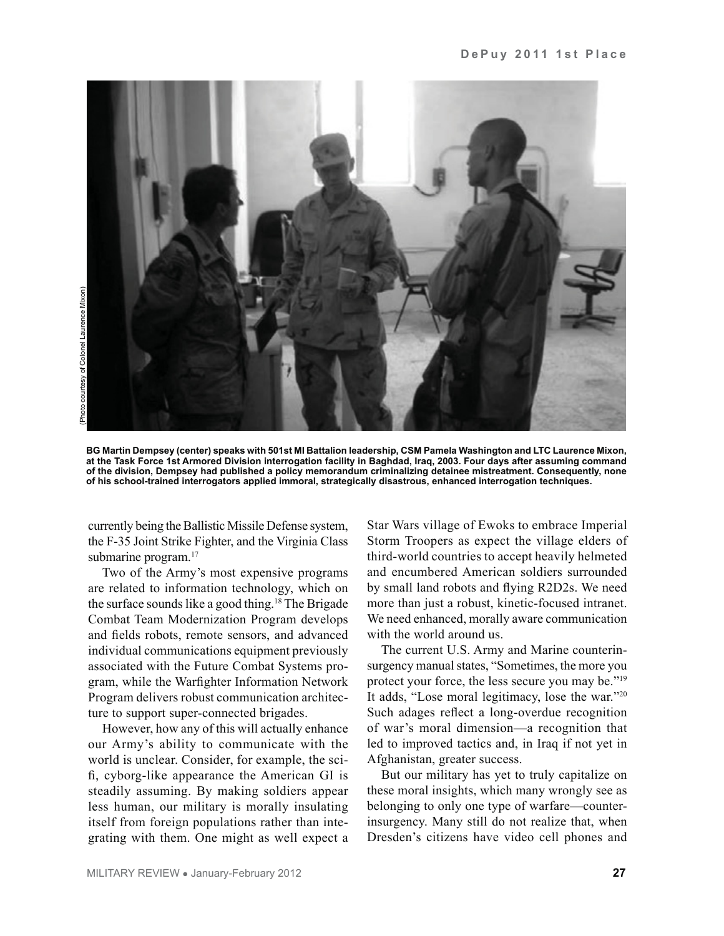

**BG Martin Dempsey (center) speaks with 501st MI Battalion leadership, CSM Pamela Washington and LTC Laurence Mixon, at the Task Force 1st Armored Division interrogation facility in Baghdad, Iraq, 2003. Four days after assuming command of the division, Dempsey had published a policy memorandum criminalizing detainee mistreatment. Consequently, none of his school-trained interrogators applied immoral, strategically disastrous, enhanced interrogation techniques.**

currently being the Ballistic Missile Defense system, the F-35 Joint Strike Fighter, and the Virginia Class submarine program.<sup>17</sup>

Two of the Army's most expensive programs are related to information technology, which on the surface sounds like a good thing.18 The Brigade Combat Team Modernization Program develops and fields robots, remote sensors, and advanced individual communications equipment previously associated with the Future Combat Systems program, while the Warfighter Information Network Program delivers robust communication architecture to support super-connected brigades.

However, how any of this will actually enhance our Army's ability to communicate with the world is unclear. Consider, for example, the scifi, cyborg-like appearance the American GI is steadily assuming. By making soldiers appear less human, our military is morally insulating itself from foreign populations rather than integrating with them. One might as well expect a Star Wars village of Ewoks to embrace Imperial Storm Troopers as expect the village elders of third-world countries to accept heavily helmeted and encumbered American soldiers surrounded by small land robots and flying R2D2s. We need more than just a robust, kinetic-focused intranet. We need enhanced, morally aware communication with the world around us.

The current U.S. Army and Marine counterinsurgency manual states, "Sometimes, the more you protect your force, the less secure you may be."19 It adds, "Lose moral legitimacy, lose the war."20 Such adages reflect a long-overdue recognition of war's moral dimension—a recognition that led to improved tactics and, in Iraq if not yet in Afghanistan, greater success.

But our military has yet to truly capitalize on these moral insights, which many wrongly see as belonging to only one type of warfare—counterinsurgency. Many still do not realize that, when Dresden's citizens have video cell phones and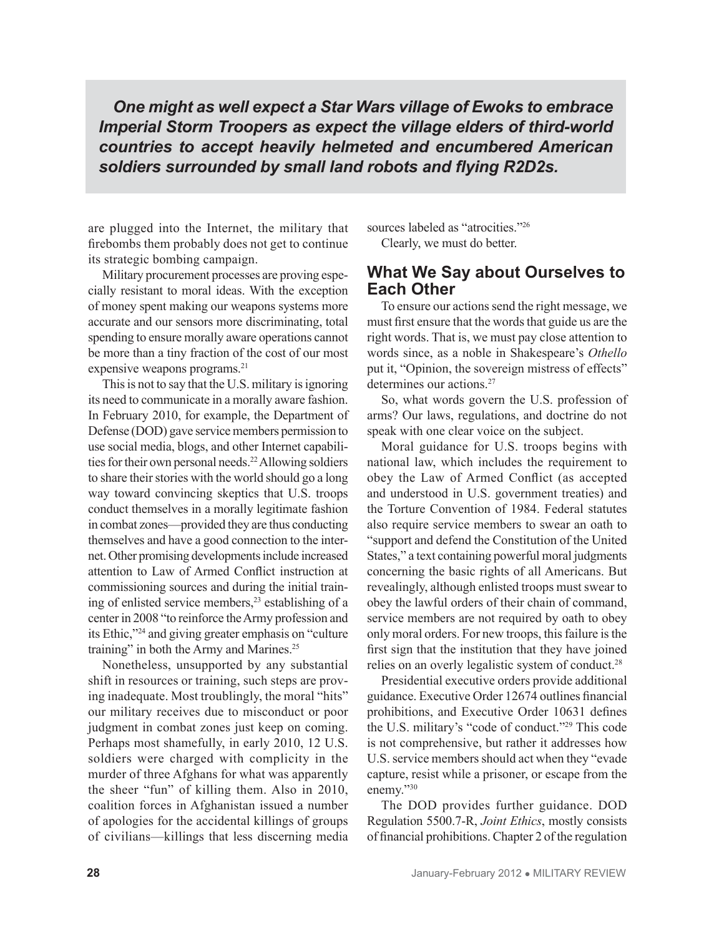*One might as well expect a Star Wars village of Ewoks to embrace Imperial Storm Troopers as expect the village elders of third-world countries to accept heavily helmeted and encumbered American soldiers surrounded by small land robots and flying R2D2s.* 

are plugged into the Internet, the military that firebombs them probably does not get to continue its strategic bombing campaign.

Military procurement processes are proving especially resistant to moral ideas. With the exception of money spent making our weapons systems more accurate and our sensors more discriminating, total spending to ensure morally aware operations cannot be more than a tiny fraction of the cost of our most expensive weapons programs.<sup>21</sup>

This is not to say that the U.S. military is ignoring its need to communicate in a morally aware fashion. In February 2010, for example, the Department of Defense (DOD) gave service members permission to use social media, blogs, and other Internet capabilities for their own personal needs.<sup>22</sup> Allowing soldiers to share their stories with the world should go a long way toward convincing skeptics that U.S. troops conduct themselves in a morally legitimate fashion in combat zones—provided they are thus conducting themselves and have a good connection to the internet. Other promising developments include increased attention to Law of Armed Conflict instruction at commissioning sources and during the initial training of enlisted service members,23 establishing of a center in 2008 "to reinforce the Army profession and its Ethic,"24 and giving greater emphasis on "culture training" in both the Army and Marines.<sup>25</sup>

Nonetheless, unsupported by any substantial shift in resources or training, such steps are proving inadequate. Most troublingly, the moral "hits" our military receives due to misconduct or poor judgment in combat zones just keep on coming. Perhaps most shamefully, in early 2010, 12 U.S. soldiers were charged with complicity in the murder of three Afghans for what was apparently the sheer "fun" of killing them. Also in 2010, coalition forces in Afghanistan issued a number of apologies for the accidental killings of groups of civilians—killings that less discerning media sources labeled as "atrocities."<sup>26</sup> Clearly, we must do better.

#### **What We Say about Ourselves to Each Other**

To ensure our actions send the right message, we must first ensure that the words that guide us are the right words. That is, we must pay close attention to words since, as a noble in Shakespeare's *Othello* put it, "Opinion, the sovereign mistress of effects" determines our actions.<sup>27</sup>

So, what words govern the U.S. profession of arms? Our laws, regulations, and doctrine do not speak with one clear voice on the subject.

Moral guidance for U.S. troops begins with national law, which includes the requirement to obey the Law of Armed Conflict (as accepted and understood in U.S. government treaties) and the Torture Convention of 1984. Federal statutes also require service members to swear an oath to "support and defend the Constitution of the United States," a text containing powerful moral judgments concerning the basic rights of all Americans. But revealingly, although enlisted troops must swear to obey the lawful orders of their chain of command, service members are not required by oath to obey only moral orders. For new troops, this failure is the first sign that the institution that they have joined relies on an overly legalistic system of conduct.28

Presidential executive orders provide additional guidance. Executive Order 12674 outlines financial prohibitions, and Executive Order 10631 defines the U.S. military's "code of conduct."29 This code is not comprehensive, but rather it addresses how U.S. service members should act when they "evade capture, resist while a prisoner, or escape from the enemy."30

The DOD provides further guidance. DOD Regulation 5500.7-R, *Joint Ethics*, mostly consists of financial prohibitions. Chapter 2 of the regulation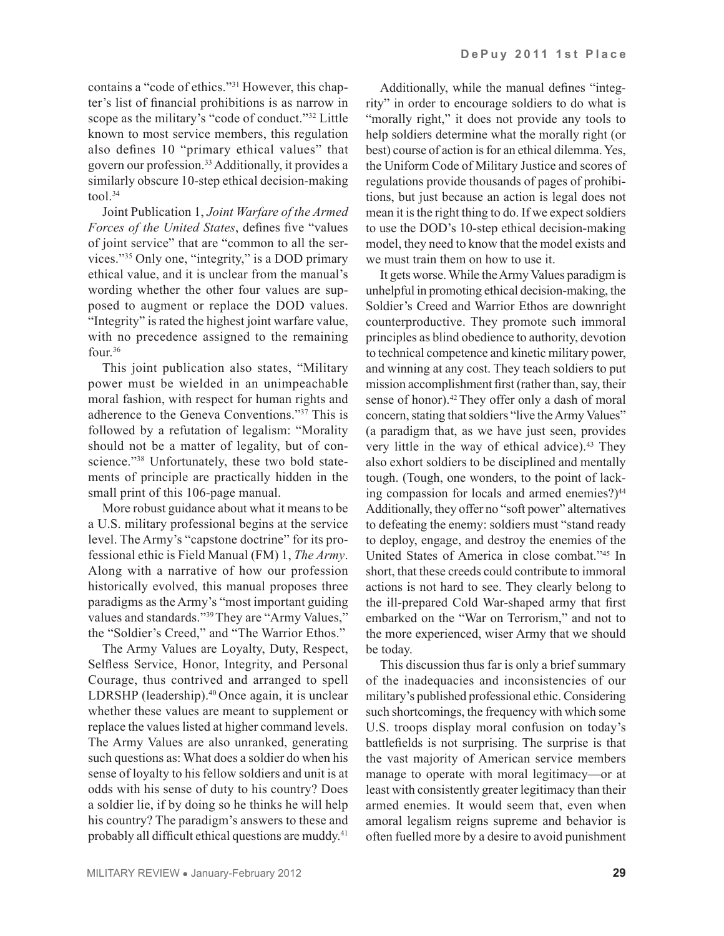contains a "code of ethics."31 However, this chapter's list of financial prohibitions is as narrow in scope as the military's "code of conduct."32 Little known to most service members, this regulation also defines 10 "primary ethical values" that govern our profession.33 Additionally, it provides a similarly obscure 10-step ethical decision-making tool.34

Joint Publication 1, *Joint Warfare of the Armed Forces of the United States*, defines five "values of joint service" that are "common to all the services."35 Only one, "integrity," is a DOD primary ethical value, and it is unclear from the manual's wording whether the other four values are supposed to augment or replace the DOD values. "Integrity" is rated the highest joint warfare value, with no precedence assigned to the remaining four.36

This joint publication also states, "Military power must be wielded in an unimpeachable moral fashion, with respect for human rights and adherence to the Geneva Conventions."37 This is followed by a refutation of legalism: "Morality should not be a matter of legality, but of conscience."38 Unfortunately, these two bold statements of principle are practically hidden in the small print of this 106-page manual.

More robust guidance about what it means to be a U.S. military professional begins at the service level. The Army's "capstone doctrine" for its professional ethic is Field Manual (FM) 1, *The Army*. Along with a narrative of how our profession historically evolved, this manual proposes three paradigms as the Army's "most important guiding values and standards."39 They are "Army Values," the "Soldier's Creed," and "The Warrior Ethos."

The Army Values are Loyalty, Duty, Respect, Selfless Service, Honor, Integrity, and Personal Courage, thus contrived and arranged to spell LDRSHP (leadership).<sup>40</sup> Once again, it is unclear whether these values are meant to supplement or replace the values listed at higher command levels. The Army Values are also unranked, generating such questions as: What does a soldier do when his sense of loyalty to his fellow soldiers and unit is at odds with his sense of duty to his country? Does a soldier lie, if by doing so he thinks he will help his country? The paradigm's answers to these and probably all difficult ethical questions are muddy.41

Additionally, while the manual defines "integrity" in order to encourage soldiers to do what is "morally right," it does not provide any tools to help soldiers determine what the morally right (or best) course of action is for an ethical dilemma. Yes, the Uniform Code of Military Justice and scores of regulations provide thousands of pages of prohibitions, but just because an action is legal does not mean it is the right thing to do. If we expect soldiers to use the DOD's 10-step ethical decision-making model, they need to know that the model exists and we must train them on how to use it.

It gets worse. While the Army Values paradigm is unhelpful in promoting ethical decision-making, the Soldier's Creed and Warrior Ethos are downright counterproductive. They promote such immoral principles as blind obedience to authority, devotion to technical competence and kinetic military power, and winning at any cost. They teach soldiers to put mission accomplishment first (rather than, say, their sense of honor).<sup>42</sup> They offer only a dash of moral concern, stating that soldiers "live the Army Values" (a paradigm that, as we have just seen, provides very little in the way of ethical advice).<sup>43</sup> They also exhort soldiers to be disciplined and mentally tough. (Tough, one wonders, to the point of lacking compassion for locals and armed enemies?)<sup>44</sup> Additionally, they offer no "soft power" alternatives to defeating the enemy: soldiers must "stand ready to deploy, engage, and destroy the enemies of the United States of America in close combat."45 In short, that these creeds could contribute to immoral actions is not hard to see. They clearly belong to the ill-prepared Cold War-shaped army that first embarked on the "War on Terrorism," and not to the more experienced, wiser Army that we should be today.

This discussion thus far is only a brief summary of the inadequacies and inconsistencies of our military's published professional ethic. Considering such shortcomings, the frequency with which some U.S. troops display moral confusion on today's battlefields is not surprising. The surprise is that the vast majority of American service members manage to operate with moral legitimacy—or at least with consistently greater legitimacy than their armed enemies. It would seem that, even when amoral legalism reigns supreme and behavior is often fuelled more by a desire to avoid punishment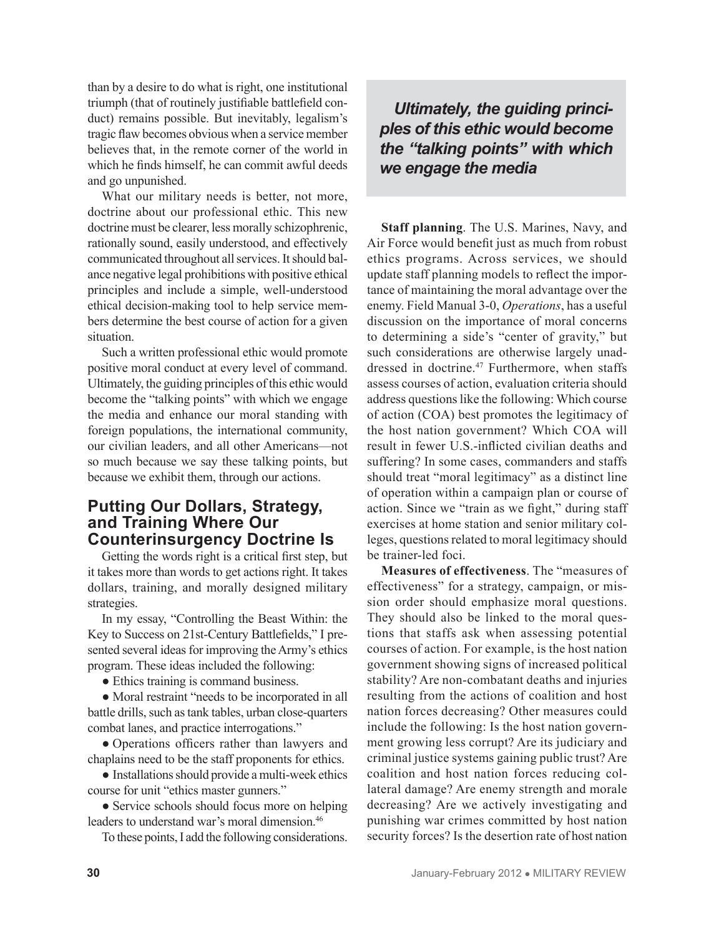than by a desire to do what is right, one institutional triumph (that of routinely justifiable battlefield conduct) remains possible. But inevitably, legalism's tragic flaw becomes obvious when a service member believes that, in the remote corner of the world in which he finds himself, he can commit awful deeds and go unpunished.

What our military needs is better, not more, doctrine about our professional ethic. This new doctrine must be clearer, less morally schizophrenic, rationally sound, easily understood, and effectively communicated throughout all services. It should balance negative legal prohibitions with positive ethical principles and include a simple, well-understood ethical decision-making tool to help service members determine the best course of action for a given situation.

Such a written professional ethic would promote positive moral conduct at every level of command. Ultimately, the guiding principles of this ethic would become the "talking points" with which we engage the media and enhance our moral standing with foreign populations, the international community, our civilian leaders, and all other Americans—not so much because we say these talking points, but because we exhibit them, through our actions.

### **Putting Our Dollars, Strategy, and Training Where Our Counterinsurgency Doctrine Is**

Getting the words right is a critical first step, but it takes more than words to get actions right. It takes dollars, training, and morally designed military strategies.

In my essay, "Controlling the Beast Within: the Key to Success on 21st-Century Battlefields," I presented several ideas for improving the Army's ethics program. These ideas included the following:

• Ethics training is command business.

• Moral restraint "needs to be incorporated in all battle drills, such as tank tables, urban close-quarters combat lanes, and practice interrogations."

● Operations officers rather than lawyers and chaplains need to be the staff proponents for ethics.

● Installations should provide a multi-week ethics course for unit "ethics master gunners."

• Service schools should focus more on helping leaders to understand war's moral dimension.<sup>46</sup>

To these points, I add the following considerations.

## *Ultimately, the guiding principles of this ethic would become the "talking points" with which we engage the media*

**Staff planning**. The U.S. Marines, Navy, and Air Force would benefit just as much from robust ethics programs. Across services, we should update staff planning models to reflect the importance of maintaining the moral advantage over the enemy. Field Manual 3-0, *Operations*, has a useful discussion on the importance of moral concerns to determining a side's "center of gravity," but such considerations are otherwise largely unaddressed in doctrine.<sup>47</sup> Furthermore, when staffs assess courses of action, evaluation criteria should address questions like the following: Which course of action (COA) best promotes the legitimacy of the host nation government? Which COA will result in fewer U.S.-inflicted civilian deaths and suffering? In some cases, commanders and staffs should treat "moral legitimacy" as a distinct line of operation within a campaign plan or course of action. Since we "train as we fight," during staff exercises at home station and senior military colleges, questions related to moral legitimacy should be trainer-led foci.

**Measures of effectiveness**. The "measures of effectiveness" for a strategy, campaign, or mission order should emphasize moral questions. They should also be linked to the moral questions that staffs ask when assessing potential courses of action. For example, is the host nation government showing signs of increased political stability? Are non-combatant deaths and injuries resulting from the actions of coalition and host nation forces decreasing? Other measures could include the following: Is the host nation government growing less corrupt? Are its judiciary and criminal justice systems gaining public trust? Are coalition and host nation forces reducing collateral damage? Are enemy strength and morale decreasing? Are we actively investigating and punishing war crimes committed by host nation security forces? Is the desertion rate of host nation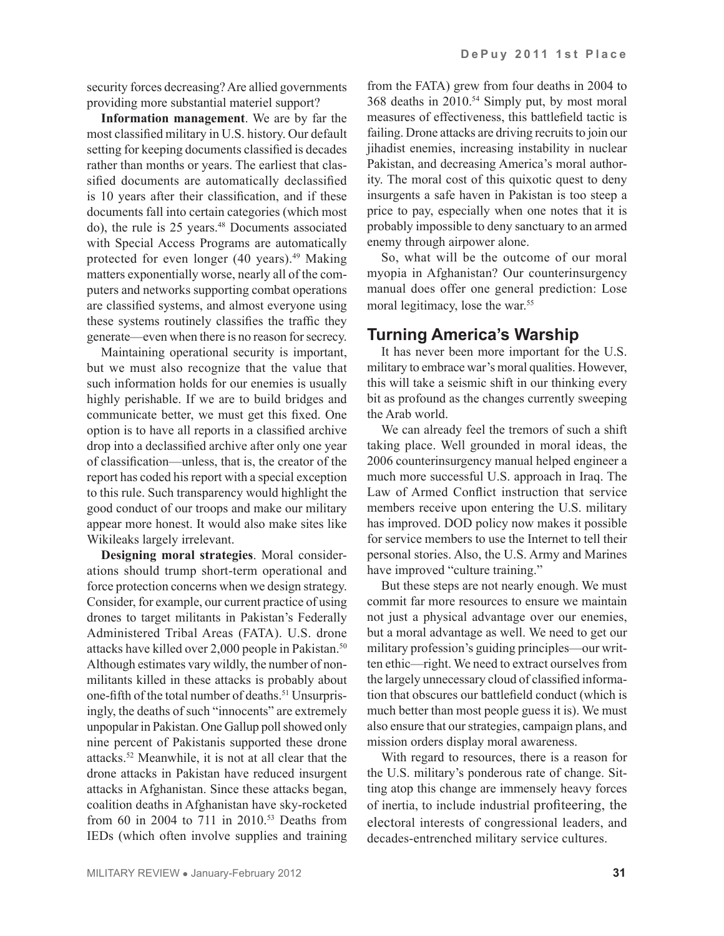security forces decreasing? Are allied governments providing more substantial materiel support?

**Information management**. We are by far the most classified military in U.S. history. Our default setting for keeping documents classified is decades rather than months or years. The earliest that classified documents are automatically declassified is 10 years after their classification, and if these documents fall into certain categories (which most do), the rule is 25 years.<sup>48</sup> Documents associated with Special Access Programs are automatically protected for even longer  $(40 \text{ years})$ .<sup>49</sup> Making matters exponentially worse, nearly all of the computers and networks supporting combat operations are classified systems, and almost everyone using these systems routinely classifies the traffic they generate—even when there is no reason for secrecy.

Maintaining operational security is important, but we must also recognize that the value that such information holds for our enemies is usually highly perishable. If we are to build bridges and communicate better, we must get this fixed. One option is to have all reports in a classified archive drop into a declassified archive after only one year of classification—unless, that is, the creator of the report has coded his report with a special exception to this rule. Such transparency would highlight the good conduct of our troops and make our military appear more honest. It would also make sites like Wikileaks largely irrelevant.

**Designing moral strategies**. Moral considerations should trump short-term operational and force protection concerns when we design strategy. Consider, for example, our current practice of using drones to target militants in Pakistan's Federally Administered Tribal Areas (FATA). U.S. drone attacks have killed over 2,000 people in Pakistan.<sup>50</sup> Although estimates vary wildly, the number of nonmilitants killed in these attacks is probably about one-fifth of the total number of deaths.<sup>51</sup> Unsurprisingly, the deaths of such "innocents" are extremely unpopular in Pakistan. One Gallup poll showed only nine percent of Pakistanis supported these drone attacks.52 Meanwhile, it is not at all clear that the drone attacks in Pakistan have reduced insurgent attacks in Afghanistan. Since these attacks began, coalition deaths in Afghanistan have sky-rocketed from 60 in 2004 to 711 in 2010.<sup>53</sup> Deaths from IEDs (which often involve supplies and training

from the FATA) grew from four deaths in 2004 to 368 deaths in 2010.54 Simply put, by most moral measures of effectiveness, this battlefield tactic is failing. Drone attacks are driving recruits to join our jihadist enemies, increasing instability in nuclear Pakistan, and decreasing America's moral authority. The moral cost of this quixotic quest to deny insurgents a safe haven in Pakistan is too steep a price to pay, especially when one notes that it is probably impossible to deny sanctuary to an armed enemy through airpower alone.

So, what will be the outcome of our moral myopia in Afghanistan? Our counterinsurgency manual does offer one general prediction: Lose moral legitimacy, lose the war.<sup>55</sup>

## **Turning America's Warship**

It has never been more important for the U.S. military to embrace war's moral qualities. However, this will take a seismic shift in our thinking every bit as profound as the changes currently sweeping the Arab world.

We can already feel the tremors of such a shift taking place. Well grounded in moral ideas, the 2006 counterinsurgency manual helped engineer a much more successful U.S. approach in Iraq. The Law of Armed Conflict instruction that service members receive upon entering the U.S. military has improved. DOD policy now makes it possible for service members to use the Internet to tell their personal stories. Also, the U.S. Army and Marines have improved "culture training."

But these steps are not nearly enough. We must commit far more resources to ensure we maintain not just a physical advantage over our enemies, but a moral advantage as well. We need to get our military profession's guiding principles—our written ethic—right. We need to extract ourselves from the largely unnecessary cloud of classified information that obscures our battlefield conduct (which is much better than most people guess it is). We must also ensure that our strategies, campaign plans, and mission orders display moral awareness.

With regard to resources, there is a reason for the U.S. military's ponderous rate of change. Sitting atop this change are immensely heavy forces of inertia, to include industrial profiteering, the electoral interests of congressional leaders, and decades-entrenched military service cultures.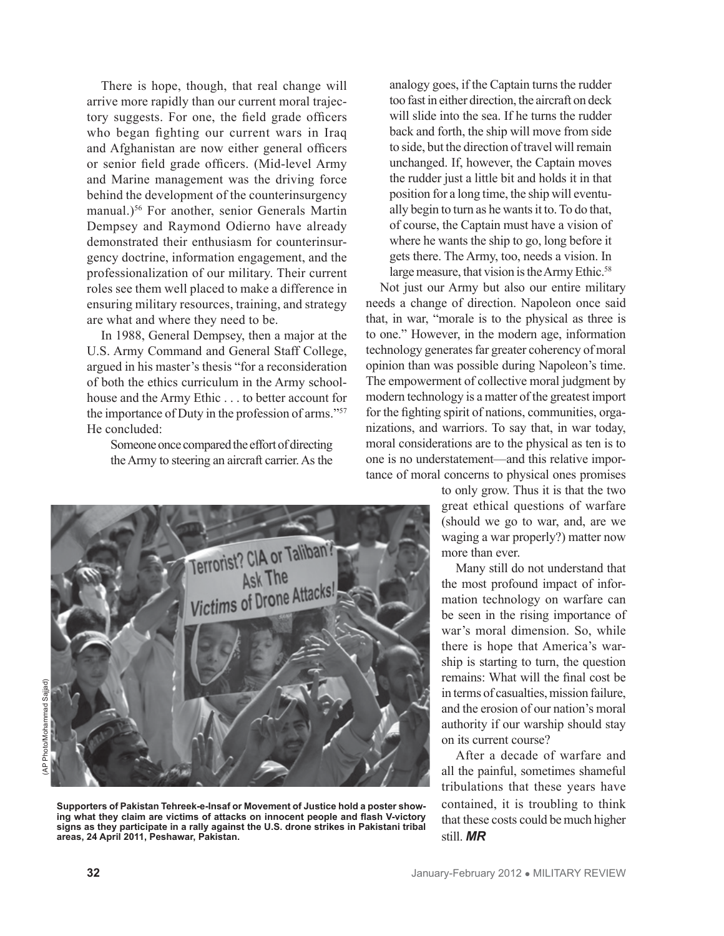There is hope, though, that real change will arrive more rapidly than our current moral trajectory suggests. For one, the field grade officers who began fighting our current wars in Iraq and Afghanistan are now either general officers or senior field grade officers. (Mid-level Army and Marine management was the driving force behind the development of the counterinsurgency manual.)<sup>56</sup> For another, senior Generals Martin Dempsey and Raymond Odierno have already demonstrated their enthusiasm for counterinsurgency doctrine, information engagement, and the professionalization of our military. Their current roles see them well placed to make a difference in ensuring military resources, training, and strategy are what and where they need to be.

In 1988, General Dempsey, then a major at the U.S. Army Command and General Staff College, argued in his master's thesis "for a reconsideration of both the ethics curriculum in the Army schoolhouse and the Army Ethic . . . to better account for the importance of Duty in the profession of arms."<sup>57</sup> He concluded:

Someone once compared the effort of directing the Army to steering an aircraft carrier. As the analogy goes, if the Captain turns the rudder too fast in either direction, the aircraft on deck will slide into the sea. If he turns the rudder back and forth, the ship will move from side to side, but the direction of travel will remain unchanged. If, however, the Captain moves the rudder just a little bit and holds it in that position for a long time, the ship will eventually begin to turn as he wants it to. To do that, of course, the Captain must have a vision of where he wants the ship to go, long before it gets there. The Army, too, needs a vision. In large measure, that vision is the Army Ethic.<sup>58</sup>

Not just our Army but also our entire military needs a change of direction. Napoleon once said that, in war, "morale is to the physical as three is to one." However, in the modern age, information technology generates far greater coherency of moral opinion than was possible during Napoleon's time. The empowerment of collective moral judgment by modern technology is a matter of the greatest import for the fighting spirit of nations, communities, organizations, and warriors. To say that, in war today, moral considerations are to the physical as ten is to one is no understatement—and this relative importance of moral concerns to physical ones promises

> to only grow. Thus it is that the two great ethical questions of warfare (should we go to war, and, are we waging a war properly?) matter now more than ever.

> Many still do not understand that the most profound impact of information technology on warfare can be seen in the rising importance of war's moral dimension. So, while there is hope that America's warship is starting to turn, the question remains: What will the final cost be in terms of casualties, mission failure and the erosion of our nation's moral authority if our warship should stay on its current course?

> After a decade of warfare and all the painful, sometimes shameful tribulations that these years have contained, it is troubling to think that these costs could be much higher still. *MR*

**Supporters of Pakistan Tehreek-e-Insaf or Movement of Justice hold a poster showing what they claim are victims of attacks on innocent people and flash V-victory signs as they participate in a rally against the U.S. drone strikes in Pakistani tribal areas, 24 April 2011, Peshawar, Pakistan.** 

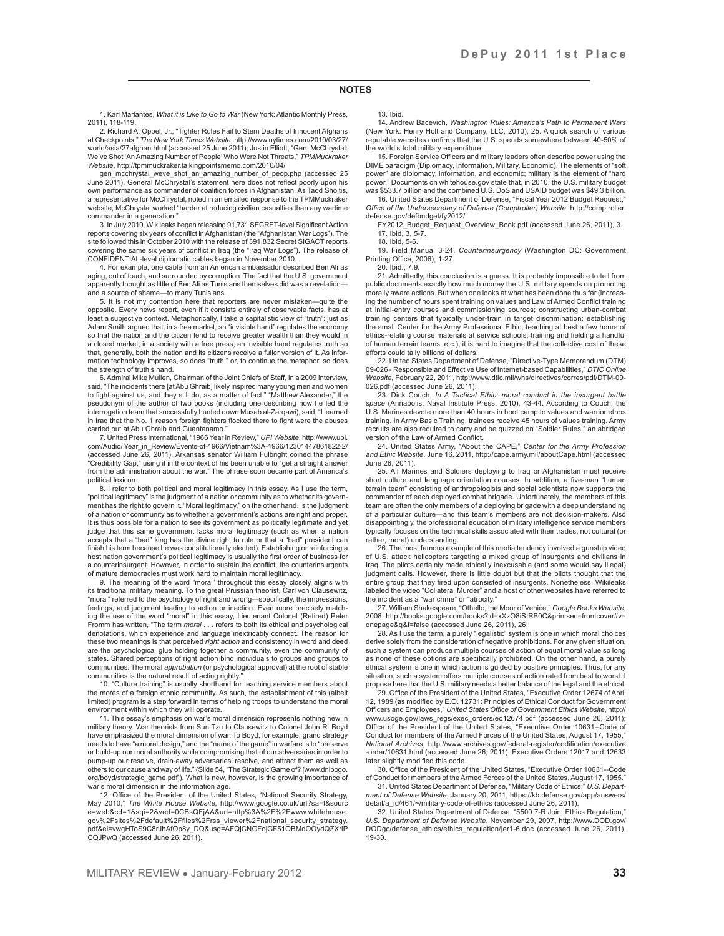#### **NOTES**

1. Karl Marlantes, *What it is Like to Go to War* (New York: Atlantic Monthly Press, 2011), 118-119.

2. Richard A. Oppel, Jr., "Tighter Rules Fail to Stem Deaths of Innocent Afghans at Checkpoints," *The New York Times Website*, http://www.nytimes.com/2010/03/27/ world/asia/27afghan.html (accessed 25 June 2011); Justin Elliott, "Gen. McChrystal: We've Shot 'An Amazing Number of People' Who Were Not Threats," *TPMMuckraker Website*, http://tpmmuckraker.talkingpointsmemo.com/2010/04/

gen\_mcchrystal\_weve\_shot\_an\_amazing\_number\_of\_peop.php (accessed 25 June 2011). General McChrystal's statement here does not reflect poorly upon his own performance as commander of coalition forces in Afghanistan. As Tadd Sholtis, a representative for McChrystal, noted in an emailed response to the TPMMuckraker website, McChrystal worked "harder at reducing civilian casualties than any wartime commander in a generation.

3. In July 2010, Wikileaks began releasing 91,731 SECRET-level Significant Action reports covering six years of conflict in Afghanistan (the "Afghanistan War Logs"). The site followed this in October 2010 with the release of 391,832 Secret SIGACT reports covering the same six years of conflict in Iraq (the "Iraq War Logs"). The release of CONFIDENTIAL-level diplomatic cables began in November 2010.

4. For example, one cable from an American ambassador described Ben Ali as aging, out of touch, and surrounded by corruption. The fact that the U.S. government apparently thought as little of Ben Ali as Tunisians themselves did was a revelation and a source of shame—to many Tunisians.

5. It is not my contention here that reporters are never mistaken—quite the opposite. Every news report, even if it consists entirely of observable facts, has at least a subjective context. Metaphorically, I take a capitalistic view of "truth": just as Adam Smith argued that, in a free market, an "invisible hand" regulates the economy so that the nation and the citizen tend to receive greater wealth than they would in a closed market, in a society with a free press, an invisible hand regulates truth so that, generally, both the nation and its citizens receive a fuller version of it. As information technology improves, so does "truth," or, to continue the metaphor, so does the strength of truth's hand.

6. Admiral Mike Mullen, Chairman of the Joint Chiefs of Staff, in a 2009 interview, said, "The incidents there [at Abu Ghraib] likely inspired many young men and women to fight against us, and they still do, as a matter of fact." "Matthew Alexander," the pseudonym of the author of two books (including one describing how he led the interrogation team that successfully hunted down Musab al-Zarqawi), said, "I learned in Iraq that the No. 1 reason foreign fighters flocked there to fight were the abuses carried out at Abu Ghraib and Guantanamo."

7. United Press International, "1966 Year in Review," *UPI Website*, http://www.upi. com/Audio/ Year\_in\_Review/Events-of-1966/Vietnam%3A-1966/12301447861822-2/ (accessed June 26, 2011). Arkansas senator William Fulbright coined the phrase "Credibility Gap," using it in the context of his been unable to "get a straight answer from the administration about the war." The phrase soon became part of America's political lexicon.

8. I refer to both political and moral legitimacy in this essay. As I use the term, "political legitimacy" is the judgment of a nation or community as to whether its government has the right to govern it. "Moral legitimacy," on the other hand, is the judgment of a nation or community as to whether a government's actions are right and proper. It is thus possible for a nation to see its government as politically legitimate and yet judge that this same government lacks moral legitimacy (such as when a nation accepts that a "bad" king has the divine right to rule or that a "bad" president can finish his term because he was constitutionally elected). Establishing or reinforcing a host nation government's political legitimacy is usually the first order of business for a counterinsurgent. However, in order to sustain the conflict, the counterinsurgents of mature democracies must work hard to maintain moral legitimacy.

9. The meaning of the word "moral" throughout this essay closely aligns with its traditional military meaning. To the great Prussian theorist, Carl von Clausewitz, "moral" referred to the psychology of right and wrong—specifically, the impressions, feelings, and judgment leading to action or inaction. Even more precisely match-ing the use of the word "moral" in this essay, Lieutenant Colonel (Retired) Peter Fromm has written, "The term *moral* . . . refers to both its ethical and psychological denotations, which experience and language inextricably connect. The reason for these two meanings is that perceived *right action* and consistency in word and deed are the psychological glue holding together a community, even the community of states. Shared perceptions of right action bind individuals to groups and groups to communities. The moral *approbation* (or psychological approval) at the root of stable communities is the natural result of acting rightly."

10. "Culture training" is usually shorthand for teaching service members about the mores of a foreign ethnic community. As such, the establishment of this (albeit limited) program is a step forward in terms of helping troops to understand the moral environment within which they will operate.

11. This essay's emphasis on war's moral dimension represents nothing new in military theory. War theorists from Sun Tzu to Clausewitz to Colonel John R. Boyd have emphasized the moral dimension of war. To Boyd, for example, grand strategy needs to have "a moral design," and the "name of the game" in warfare is to "preserve or build-up our moral authority while compromising that of our adversaries in order to pump-up our resolve, drain-away adversaries' resolve, and attract them as well as others to our cause and way of life." (Slide 54, "The Strategic Game of? [www.dnipogo. org/boyd/strategic\_game.pdf]). What is new, however, is the growing importance of war's moral dimension in the information age.

12. Office of the President of the United States, "National Security Strategy, May 2010," *The White House Website,* http://www.google.co.uk/url?sa=t&sourc e=web&cd=1&sqi=2&ved=0CBsQFjAA&url=http%3A%2F%2Fwww.whitehouse. gov%2Fsites%2Fdefault%2Ffiles%2Frss\_viewer%2Fnational\_security\_strategy. pdf&ei=vwgHToS9C8rJhAfOp8y\_DQ&usg=AFQjCNGFojGF51OBMdOOydQZXriP CQJPwQ (accessed June 26, 2011).

#### 13. Ibid.

14. Andrew Bacevich, *Washington Rules: America's Path to Permanent Wars* (New York: Henry Holt and Company, LLC, 2010), 25. A quick search of various reputable websites confirms that the U.S. spends somewhere between 40-50% of the world's total military expenditure.

15. Foreign Service Officers and military leaders often describe power using the DIME paradigm (Diplomacy, Information, Military, Economic). The elements of "soft power" are diplomacy, information, and economic; military is the element of "hard power." Documents on whitehouse.gov state that, in 2010, the U.S. military budget was \$533.7 billion and the combined U.S. DoS and USAID budget was \$49.3 billion.

16. United States Department of Defense, "Fiscal Year 2012 Budget Request," *Office of the Undersecretary of Defense (Comptroller) Website*, http://comptroller. defense.gov/defbudget/fy2012/

FY2012\_Budget\_Request\_Overview\_Book.pdf (accessed June 26, 2011), 3. 17. Ibid, 3, 5-7.

18. Ibid, 5-6.

19. Field Manual 3-24, *Counterinsurgency* (Washington DC: Government Printing Office, 2006), 1-27.

20. Ibid., 7.9.

21. Admittedly, this conclusion is a guess. It is probably impossible to tell from public documents exactly how much money the U.S. military spends on promoting morally aware actions. But when one looks at what has been done thus far (increas ing the number of hours spent training on values and Law of Armed Conflict training at initial-entry courses and commissioning sources; constructing urban-combat training centers that typically under-train in target discrimination; establishing the small Center for the Army Professional Ethic; teaching at best a few hours of ethics-relating course materials at service schools; training and fielding a handful of human terrain teams, etc.), it is hard to imagine that the collective cost of these efforts could tally billions of dollars.

22. United States Department of Defense, "Directive-Type Memorandum (DTM) 09-026 - Responsible and Effective Use of Internet-based Capabilities," *DTIC Online Website,* February 22, 2011, http://www.dtic.mil/whs/directives/corres/pdf/DTM-09- 026.pdf (accessed June 26, 2011).

23. Dick Couch, *In A Tactical Ethic: moral conduct in the insurgent battle space* (Annapolis: Naval Institute Press, 2010), 43-44. According to Couch, the U.S. Marines devote more than 40 hours in boot camp to values and warrior ethos training. In Army Basic Training, trainees receive 45 hours of values training. Army recruits are also required to carry and be quizzed on "Soldier Rules," an abridged version of the Law of Armed Conflict.

24. United States Army, "About the CAPE," *Center for the Army Profession and Ethic Website*, June 16, 2011, http://cape.army.mil/aboutCape.html (accessed June 26, 2011).

25. All Marines and Soldiers deploying to Iraq or Afghanistan must receive short culture and language orientation courses. In addition, a five-man "human terrain team" consisting of anthropologists and social scientists now supports the commander of each deployed combat brigade. Unfortunately, the members of this team are often the only members of a deploying brigade with a deep understanding of a particular culture—and this team's members are not decision-makers. Also disappointingly, the professional education of military intelligence service members typically focuses on the technical skills associated with their trades, not cultural (or rather, moral) understanding.

26. The most famous example of this media tendency involved a gunship video of U.S. attack helicopters targeting a mixed group of insurgents and civilians in Iraq. The pilots certainly made ethically inexcusable (and some would say illegal) judgment calls. However, there is little doubt but that the pilots thought that the entire group that they fired upon consisted of insurgents. Nonetheless, Wikileaks labeled the video "Collateral Murder" and a host of other websites have referred to the incident as a "war crime" or "atrocity."

27. William Shakespeare, "Othello, the Moor of Venice," *Google Books Website*, 2008, http://books.google.com/books?id=xXzO8iSIRB0C&printsec=frontcover#v= onepage&q&f=false (accessed June 26, 2011), 26.

28. As I use the term, a purely "legalistic" system is one in which moral choices derive solely from the consideration of negative prohibitions. For any given situation, such a system can produce multiple courses of action of equal moral value so long as none of these options are specifically prohibited. On the other hand, a purely ethical system is one in which action is guided by positive principles. Thus, for any situation, such a system offers multiple courses of action rated from best to worst. I propose here that the U.S. military needs a better balance of the legal and the ethical.

29. Office of the President of the United States, "Executive Order 12674 of April 12, 1989 (as modified by E.O. 12731: Principles of Ethical Conduct for Government Officers and Employees," *United States Office of Government Ethics Website*, http:// www.usoge.gov/laws\_regs/exec\_orders/eo12674.pdf (accessed June 26, 2011); Office of the President of the United States, "Executive Order 10631--Code of Conduct for members of the Armed Forces of the United States, August 17, 1955," *National Archives*, http://www.archives.gov/federal-register/codification/executive -order/10631.html (accessed June 26, 2011). Executive Orders 12017 and 12633 later slightly modified this code.

30. Office of the President of the United States, "Executive Order 10631--Code of Conduct for members of the Armed Forces of the United States, August 17, 1955." 31. United States Department of Defense, "Military Code of Ethics," *U.S. Depart-*

*ment of Defense Website*, January 20, 2011, https://kb.defense.gov/app/answers/ detail/a\_id/461/~/military-code-of-ethics (accessed June 26, 2011).

32. United States Department of Defense, "5500 7-R Joint Ethics Regulation," *U.S. Department of Defense Website*, November 29, 2007, http://www.DOD.gov/ DODgc/defense\_ethics/ethics\_regulation/jer1-6.doc (accessed June 26, 2011), 19-30.